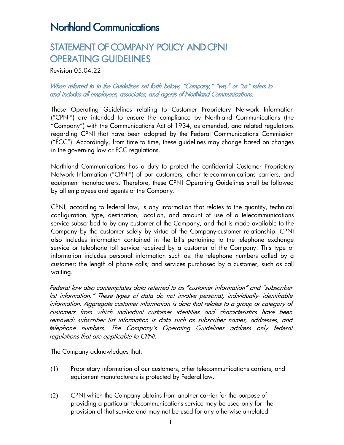# STATEMENT OF COMPANY POLICY AND CPNI OPERATING GUIDELINES

Revision 05.04.22

# When referred to in the Guidelines set forth below, "Company," "we," or "us" refers to and includes all employees, associates, and agents of Northland Communications.

These Operating Guidelines relating to Customer Proprietary Network Information ("CPNI") are intended to ensure the compliance by Northland Communications (the "Company") with the Communications Act of 1934, as amended, and related regulations regarding CPNI that have been adopted by the Federal Communications Commission ("FCC"). Accordingly, from time to time, these guidelines may change based on changes in the governing law or FCC regulations.

Northland Communications has a duty to protect the confidential Customer Proprietary Network Information ("CPNI") of our customers, other telecommunications carriers, and equipment manufacturers. Therefore, these CPNI Operating Guidelines shall be followed by all employees and agents of the Company.

CPNI, according to federal law, is any information that relates to the quantity, technical configuration, type, destination, location, and amount of use of a telecommunications service subscribed to by any customer of the Company, and that is made available to the Company by the customer solely by virtue of the Company-customer relationship. CPNI also includes information contained in the bills pertaining to the telephone exchange service or telephone toll service received by a customer of the Company. This type of information includes personal information such as: the telephone numbers called by a customer; the length of phone calls; and services purchased by a customer, such as call waiting.

Federal law also contemplates data referred to as "customer information" and "subscriber list information." These types of data do not involve personal, individually- identifiable information. Aggregate customer information is data that relates to a group or category of customers from which individual customer identities and characteristics have been removed; subscriber list information is data such as subscriber names, addresses, and telephone numbers. The Company's Operating Guidelines address only federal regulations that are applicable to CPNI.

The Company acknowledges that:

- (1) Proprietary information of our customers, other telecommunications carriers, and equipment manufacturers is protected by Federal law.
- (2) CPNI which the Company obtains from another carrier for the purpose of providing a particular telecommunications service may be used only for the provision of that service and may not be used for any otherwise unrelated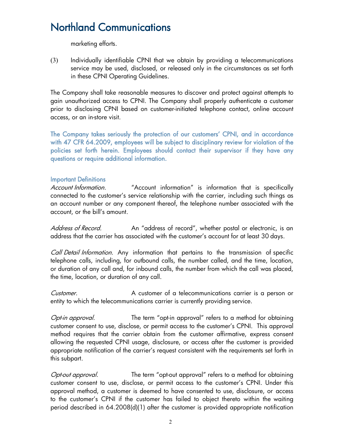marketing efforts.

(3) Individually identifiable CPNI that we obtain by providing a telecommunications service may be used, disclosed, or released only in the circumstances as set forth in these CPNI Operating Guidelines.

The Company shall take reasonable measures to discover and protect against attempts to gain unauthorized access to CPNI. The Company shall properly authenticate a customer prior to disclosing CPNI based on customer-initiated telephone contact, online account access, or an in-store visit.

The Company takes seriously the protection of our customers' CPNI, and in accordance with 47 CFR 64.2009, employees will be subject to disciplinary review for violation of the policies set forth herein. Employees should contact their supervisor if they have any questions or require additional information.

### Important Definitions

Account Information. "Account information" is information that is specifically connected to the customer's service relationship with the carrier, including such things as an account number or any component thereof, the telephone number associated with the account, or the bill's amount.

Address of Record. An "address of record", whether postal or electronic, is an address that the carrier has associated with the customer's account for at least 30 days.

Call Detail Information. Any information that pertains to the transmission of specific telephone calls, including, for outbound calls, the number called, and the time, location, or duration of any call and, for inbound calls, the number from which the call was placed, the time, location, or duration of any call.

Customer. A customer of a telecommunications carrier is a person or entity to which the telecommunications carrier is currently providing service.

Opt-in approval. The term "opt-in approval" refers to a method for obtaining customer consent to use, disclose, or permit access to the customer's CPNI. This approval method requires that the carrier obtain from the customer affirmative, express consent allowing the requested CPNI usage, disclosure, or access after the customer is provided appropriate notification of the carrier's request consistent with the requirements set forth in this subpart.

Opt-out approval. The term "opt-out approval" refers to a method for obtaining customer consent to use, disclose, or permit access to the customer's CPNI. Under this approval method, a customer is deemed to have consented to use, disclosure, or access to the customer's CPNI if the customer has failed to object thereto within the waiting period described in 64.2008(d)(1) after the customer is provided appropriate notification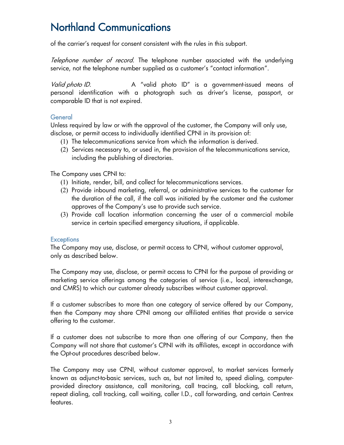of the carrier's request for consent consistent with the rules in this subpart.

Telephone number of record. The telephone number associated with the underlying service, not the telephone number supplied as a customer's "contact information".

Valid photo ID. A "valid photo ID" is a government-issued means of personal identification with a photograph such as driver's license, passport, or comparable ID that is not expired.

### **General**

Unless required by law or with the approval of the customer, the Company will only use, disclose, or permit access to individually identified CPNI in its provision of:

- (1) The telecommunications service from which the information is derived.
- (2) Services necessary to, or used in, the provision of the telecommunications service, including the publishing of directories.

The Company uses CPNI to:

- (1) Initiate, render, bill, and collect for telecommunications services.
- (2) Provide inbound marketing, referral, or administrative services to the customer for the duration of the call, if the call was initiated by the customer and the customer approves of the Company's use to provide such service.
- (3) Provide call location information concerning the user of a commercial mobile service in certain specified emergency situations, if applicable.

### **Exceptions**

The Company may use, disclose, or permit access to CPNI, without customer approval, only as described below.

The Company may use, disclose, or permit access to CPNI for the purpose of providing or marketing service offerings among the categories of service (i.e., local, interexchange, and CMRS) to which our customer already subscribes without customer approval.

If a customer subscribes to more than one category of service offered by our Company, then the Company may share CPNI among our affiliated entities that provide a service offering to the customer.

If a customer does not subscribe to more than one offering of our Company, then the Company will not share that customer's CPNI with its affiliates, except in accordance with the Opt-out procedures described below.

The Company may use CPNI, without customer approval, to market services formerly known as adjunct-to-basic services, such as, but not limited to, speed dialing, computerprovided directory assistance, call monitoring, call tracing, call blocking, call return, repeat dialing, call tracking, call waiting, caller I.D., call forwarding, and certain Centrex features.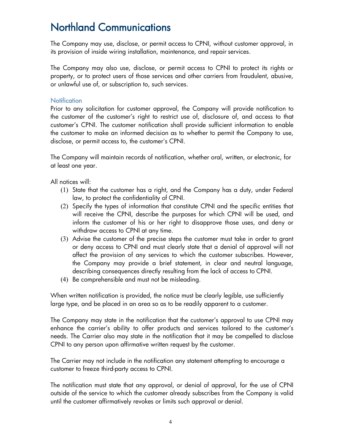The Company may use, disclose, or permit access to CPNI, without customer approval, in its provision of inside wiring installation, maintenance, and repair services.

The Company may also use, disclose, or permit access to CPNI to protect its rights or property, or to protect users of those services and other carriers from fraudulent, abusive, or unlawful use of, or subscription to, such services.

## **Notification**

Prior to any solicitation for customer approval, the Company will provide notification to the customer of the customer's right to restrict use of, disclosure of, and access to that customer's CPNI. The customer notification shall provide sufficient information to enable the customer to make an informed decision as to whether to permit the Company to use, disclose, or permit access to, the customer's CPNI.

The Company will maintain records of notification, whether oral, written, or electronic, for at least one year.

All notices will:

- (1) State that the customer has a right, and the Company has a duty, under Federal law, to protect the confidentiality of CPNI.
- (2) Specify the types of information that constitute CPNI and the specific entities that will receive the CPNI, describe the purposes for which CPNI will be used, and inform the customer of his or her right to disapprove those uses, and deny or withdraw access to CPNI at any time.
- (3) Advise the customer of the precise steps the customer must take in order to grant or deny access to CPNI and must clearly state that a denial of approval will not affect the provision of any services to which the customer subscribes. However, the Company may provide a brief statement, in clear and neutral language, describing consequences directly resulting from the lack of access to CPNI.
- (4) Be comprehensible and must not be misleading.

When written notification is provided, the notice must be clearly legible, use sufficiently large type, and be placed in an area so as to be readily apparent to a customer.

The Company may state in the notification that the customer's approval to use CPNI may enhance the carrier's ability to offer products and services tailored to the customer's needs. The Carrier also may state in the notification that it may be compelled to disclose CPNI to any person upon affirmative written request by the customer.

The Carrier may not include in the notification any statement attempting to encourage a customer to freeze third-party access to CPNI.

The notification must state that any approval, or denial of approval, for the use of CPNI outside of the service to which the customer already subscribes from the Company is valid until the customer affirmatively revokes or limits such approval or denial.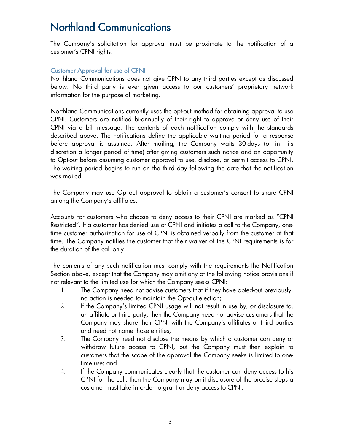The Company's solicitation for approval must be proximate to the notification of a customer's CPNI rights.

# Customer Approval for use of CPNI

Northland Communications does not give CPNI to any third parties except as discussed below. No third party is ever given access to our customers' proprietary network information for the purpose of marketing.

Northland Communications currently uses the opt-out method for obtaining approval to use CPNI. Customers are notified bi-annually of their right to approve or deny use of their CPNI via a bill message. The contents of each notification comply with the standards described above. The notifications define the applicable waiting period for a response before approval is assumed. After mailing, the Company waits 30-days (or in its discretion a longer period of time) after giving customers such notice and an opportunity to Opt-out before assuming customer approval to use, disclose, or permit access to CPNI. The waiting period begins to run on the third day following the date that the notification was mailed.

The Company may use Opt-out approval to obtain a customer's consent to share CPNI among the Company's affiliates.

Accounts for customers who choose to deny access to their CPNI are marked as "CPNI Restricted". If a customer has denied use of CPNI and initiates a call to the Company, onetime customer authorization for use of CPNI is obtained verbally from the customer at that time. The Company notifies the customer that their waiver of the CPNI requirements is for the duration of the call only.

The contents of any such notification must comply with the requirements the Notification Section above, except that the Company may omit any of the following notice provisions if not relevant to the limited use for which the Company seeks CPNI:

- 1. The Company need not advise customers that if they have opted-out previously, no action is needed to maintain the Opt-out election;
- 2. If the Company's limited CPNI usage will not result in use by, or disclosure to, an affiliate or third party, then the Company need not advise customers that the Company may share their CPNI with the Company's affiliates or third parties and need not name those entities,
- 3. The Company need not disclose the means by which a customer can deny or withdraw future access to CPNI, but the Company must then explain to customers that the scope of the approval the Company seeks is limited to onetime use; and
- 4. If the Company communicates clearly that the customer can deny access to his CPNI for the call, then the Company may omit disclosure of the precise steps a customer must take in order to grant or deny access to CPNI.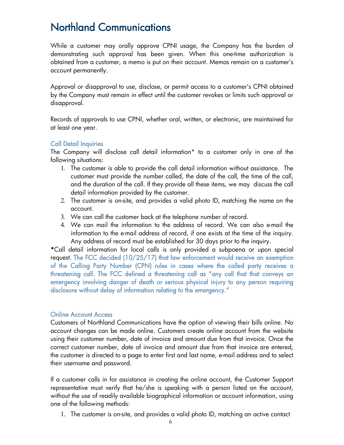While a customer may orally approve CPNI usage, the Company has the burden of demonstrating such approval has been given. When this one-time authorization is account permanently. obtained from a customer, a memo is put on their account. Memos remain on a customer's

Approval or disapproval to use, disclose, or permit access to a customer's CPNI obtained by the Company must remain in effect until the customer revokes or limits such approval or disapproval.

Records of approvals to use CPNI, whether oral, written, or electronic, are maintained for at least one year.

## Call Detail Inquiries

The Company will disclose call detail information\* to a customer only in one of the following situations:

- 1. The customer is able to provide the call detail information without assistance. The customer must provide the number called, the date of the call, the time of the call, and the duration of the call. If they provide all these items, we may discuss the call detail information provided by the customer.
- 2. The customer is on-site, and provides a valid photo ID, matching the name on the account.
- 3. We can call the customer back at the telephone number of record.
- 4. We can mail the information to the address of record. We can also e-mail the information to the e-mail address of record, if one exists at the time of the inquiry. Any address of record must be established for 30 days prior to the inquiry.

\*Call detail information for local calls is only provided a subpoena or upon special request. The FCC decided (10/25/17) that law enforcement would receive an exemption of the Calling Party Number (CPN) rules in cases where the called party receives a threatening call. The FCC defined a threatening call as "any call that that conveys an emergency involving danger of death or serious physical injury to any person requiring disclosure without delay of information relating to the emergency."

### Online Account Access

Customers of Northland Communications have the option of viewing their bills online. No account changes can be made online. Customers create online account from the website using their customer number, date of invoice and amount due from that invoice. Once the correct customer number, date of invoice and amount due from that invoice are entered, the customer is directed to a page to enter first and last name, e-mail address and to select their username and password.

If a customer calls in for assistance in creating the online account, the Customer Support representative must verify that he/she is speaking with a person listed on the account, without the use of readily available biographical information or account information, using one of the following methods:

1. The customer is on-site, and provides a valid photo ID, matching an active contact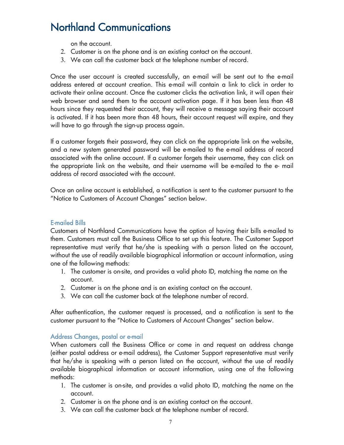on the account.

- 2. Customer is on the phone and is an existing contact on the account.
- 3. We can call the customer back at the telephone number of record.

Once the user account is created successfully, an e-mail will be sent out to the e-mail address entered at account creation. This e-mail will contain a link to click in order to activate their online account. Once the customer clicks the activation link, it will open their web browser and send them to the account activation page. If it has been less than 48 hours since they requested their account, they will receive a message saying their account is activated. If it has been more than 48 hours, their account request will expire, and they will have to go through the sign-up process again.

If a customer forgets their password, they can click on the appropriate link on the website, and a new system generated password will be e-mailed to the e-mail address of record associated with the online account. If a customer forgets their username, they can click on the appropriate link on the website, and their username will be e-mailed to the e- mail address of record associated with the account.

Once an online account is established, a notification is sent to the customer pursuant to the "Notice to Customers of Account Changes" section below.

## E-mailed Bills

Customers of Northland Communications have the option of having their bills e-mailed to them. Customers must call the Business Office to set up this feature. The Customer Support representative must verify that he/she is speaking with a person listed on the account, without the use of readily available biographical information or account information, using one of the following methods:

- 1. The customer is on-site, and provides a valid photo ID, matching the name on the account.
- 2. Customer is on the phone and is an existing contact on the account.
- 3. We can call the customer back at the telephone number of record.

After authentication, the customer request is processed, and a notification is sent to the customer pursuant to the "Notice to Customers of Account Changes" section below.

### Address Changes, postal or e-mail

When customers call the Business Office or come in and request an address change (either postal address or e-mail address), the Customer Support representative must verify that he/she is speaking with a person listed on the account, without the use of readily available biographical information or account information, using one of the following methods:

- 1. The customer is on-site, and provides a valid photo ID, matching the name on the account.
- 2. Customer is on the phone and is an existing contact on the account.
- 3. We can call the customer back at the telephone number of record.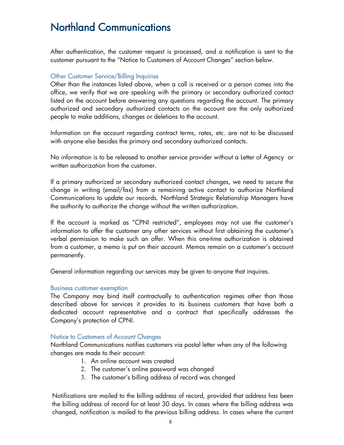After authentication, the customer request is processed, and a notification is sent to the<br>customer pursuant to the "Natice to Customers of Account Changes" section below. customer pursuant to the "Notice to Customers of Account Changes" section below.

### Other Customer Service/Billing Inquiries

Other than the instances listed above, when a call is received or a person comes into the office, we verify that we are speaking with the primary or secondary authorized contact listed on the account before answering any questions regarding the account. The primary authorized and secondary authorized contacts on the account are the only authorized people to make additions, changes or deletions to the account.

Information on the account regarding contract terms, rates, etc. are not to be discussed with anyone else besides the primary and secondary authorized contacts.

No information is to be released to another service provider without a Letter of Agency or written authorization from the customer.

If a primary authorized or secondary authorized contact changes, we need to secure the change in writing (email/fax) from a remaining active contact to authorize Northland Communications to update our records. Northland Strategic Relationship Managers have the authority to authorize the change without the written authorization.

If the account is marked as "CPNI restricted", employees may not use the customer's information to offer the customer any other services without first obtaining the customer's verbal permission to make such an offer. When this one-time authorization is obtained from a customer, a memo is put on their account. Memos remain on a customer's account permanently.

General information regarding our services may be given to anyone that inquires.

#### Business customer exemption

The Company may bind itself contractually to authentication regimes other than those described above for services it provides to its business customers that have both a dedicated account representative and a contract that specifically addresses the Company's protection of CPNI.

#### Notice to Customers of Account Changes

Northland Communications notifies customers via postal letter when any of the following changes are made to their account:

- 1. An online account was created
- 2. The customer's online password was changed
- 3. The customer's billing address of record was changed

Notifications are mailed to the billing address of record, provided that address has been the billing address of record for at least 30 days. In cases where the billing address was changed, notification is mailed to the previous billing address. In cases where the current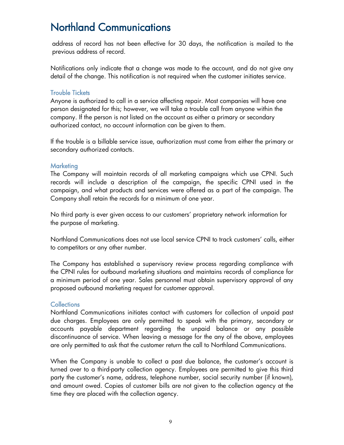address of record has not been effective for 30 days, the notification is mailed to the previous address of record.

 Notifications only indicate that a change was made to the account, and do not give any detail of the change. This notification is not required when the customer initiates service.

## Trouble Tickets

Anyone is authorized to call in a service affecting repair. Most companies will have one person designated for this; however, we will take a trouble call from anyone within the company. If the person is not listed on the account as either a primary or secondary authorized contact, no account information can be given to them.

If the trouble is a billable service issue, authorization must come from either the primary or secondary authorized contacts.

### **Marketing**

The Company will maintain records of all marketing campaigns which use CPNI. Such records will include a description of the campaign, the specific CPNI used in the campaign, and what products and services were offered as a part of the campaign. The Company shall retain the records for a minimum of one year.

No third party is ever given access to our customers' proprietary network information for the purpose of marketing.

Northland Communications does not use local service CPNI to track customers' calls, either to competitors or any other number.

The Company has established a supervisory review process regarding compliance with the CPNI rules for outbound marketing situations and maintains records of compliance for a minimum period of one year. Sales personnel must obtain supervisory approval of any proposed outbound marketing request for customer approval.

# **Collections**

Northland Communications initiates contact with customers for collection of unpaid past due charges. Employees are only permitted to speak with the primary, secondary or accounts payable department regarding the unpaid balance or any possible discontinuance of service. When leaving a message for the any of the above, employees are only permitted to ask that the customer return the call to Northland Communications.

When the Company is unable to collect a past due balance, the customer's account is turned over to a third-party collection agency. Employees are permitted to give this third party the customer's name, address, telephone number, social security number (if known), and amount owed. Copies of customer bills are not given to the collection agency at the time they are placed with the collection agency.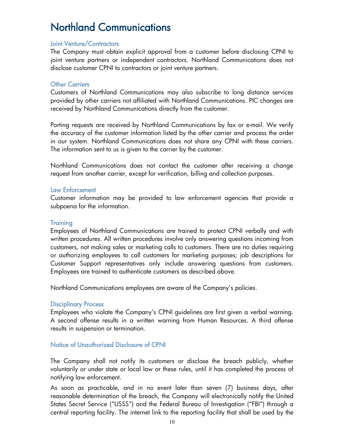# Joint Venture/Contractors

 The Company must obtain explicit approval from a customer before disclosing CPNI to disclose customer CPNI to contractors or joint venture partners. joint venture partners or independent contractors. Northland Communications does not

### Other Carriers

Customers of Northland Communications may also subscribe to long distance services provided by other carriers not affiliated with Northland Communications. PIC changes are received by Northland Communications directly from the customer.

Porting requests are received by Northland Communications by fax or e-mail. We verify the accuracy of the customer information listed by the other carrier and process the order in our system. Northland Communications does not share any CPNI with these carriers. The information sent to us is given to the carrier by the customer.

Northland Communications does not contact the customer after receiving a change request from another carrier, except for verification, billing and collection purposes.

### Law Enforcement

Customer information may be provided to law enforcement agencies that provide a subpoena for the information.

### **Training**

Employees of Northland Communications are trained to protect CPNI verbally and with written procedures. All written procedures involve only answering questions incoming from customers, not making sales or marketing calls to customers. There are no duties requiring or authorizing employees to call customers for marketing purposes; job descriptions for Customer Support representatives only include answering questions from customers. Employees are trained to authenticate customers as described above.

Northland Communications employees are aware of the Company's policies.

#### Disciplinary Process

Employees who violate the Company's CPNI guidelines are first given a verbal warning. A second offense results in a written warning from Human Resources. A third offense results in suspension or termination.

### Notice of Unauthorized Disclosure of CPNI

The Company shall not notify its customers or disclose the breach publicly, whether voluntarily or under state or local law or these rules, until it has completed the process of notifying law enforcement.

As soon as practicable, and in no event later than seven (7) business days, after reasonable determination of the breach, the Company will electronically notify the United States Secret Service ("USSS") and the Federal Bureau of Investigation ("FBI") through a central reporting facility. The internet link to the reporting facility that shall be used by the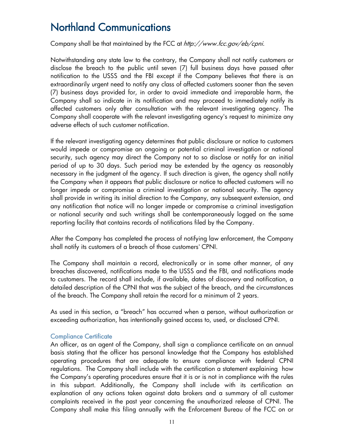Company shall be that maintained by the FCC at *<http://www.fcc.gov/eb/cpni>*.

 Notwithstanding any state law to the contrary, the Company shall not notify customers or disclose the breach to the public until seven (7) full business days have passed after notification to the USSS and the FBI except if the Company believes that there is an extraordinarily urgent need to notify any class of affected customers sooner than the seven (7) business days provided for, in order to avoid immediate and irreparable harm, the Company shall so indicate in its notification and may proceed to immediately notify its affected customers only after consultation with the relevant investigating agency. The Company shall cooperate with the relevant investigating agency's request to minimize any adverse effects of such customer notification.

If the relevant investigating agency determines that public disclosure or notice to customers would impede or compromise an ongoing or potential criminal investigation or national security, such agency may direct the Company not to so disclose or notify for an initial period of up to 30 days. Such period may be extended by the agency as reasonably necessary in the judgment of the agency. If such direction is given, the agency shall notify the Company when it appears that public disclosure or notice to affected customers will no longer impede or compromise a criminal investigation or national security. The agency shall provide in writing its initial direction to the Company, any subsequent extension, and any notification that notice will no longer impede or compromise a criminal investigation or national security and such writings shall be contemporaneously logged on the same reporting facility that contains records of notifications filed by the Company.

After the Company has completed the process of notifying law enforcement, the Company shall notify its customers of a breach of those customers' CPNI.

The Company shall maintain a record, electronically or in some other manner, of any breaches discovered, notifications made to the USSS and the FBI, and notifications made to customers. The record shall include, if available, dates of discovery and notification, a detailed description of the CPNI that was the subject of the breach, and the circumstances of the breach. The Company shall retain the record for a minimum of 2 years.

As used in this section, a "breach" has occurred when a person, without authorization or exceeding authorization, has intentionally gained access to, used, or disclosed CPNI.

### Compliance Certificate

An officer, as an agent of the Company, shall sign a compliance certificate on an annual basis stating that the officer has personal knowledge that the Company has established operating procedures that are adequate to ensure compliance with federal CPNI regulations. The Company shall include with the certification a statement explaining how the Company's operating procedures ensure that it is or is not in compliance with the rules in this subpart. Additionally, the Company shall include with its certification an explanation of any actions taken against data brokers and a summary of all customer complaints received in the past year concerning the unauthorized release of CPNI. The Company shall make this filing annually with the Enforcement Bureau of the FCC on or